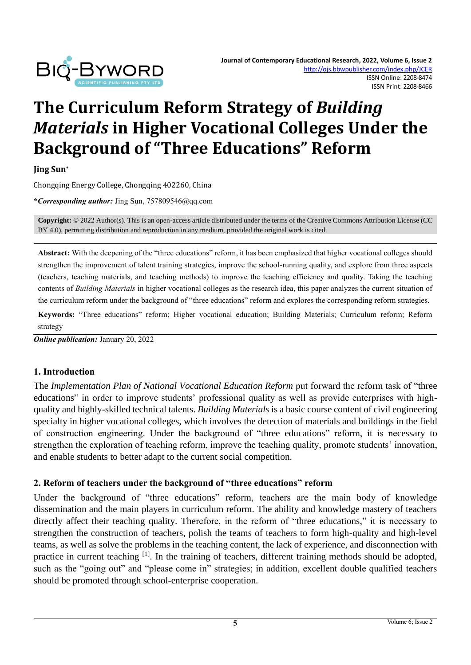

# **The Curriculum Reform Strategy of** *Building Materials* **in Higher Vocational Colleges Under the Background of "Three Educations" Reform**

**Jing Sun\***

Chongqing Energy College, Chongqing 402260, China

**\****Corresponding author:* Jing Sun, 757809546@qq.com

**Copyright:** © 2022 Author(s). This is an open-access article distributed under the terms of th[e Creative Commons Attribution License \(CC](https://creativecommons.org/licenses/by/4.0/)  [BY 4.0\),](https://creativecommons.org/licenses/by/4.0/) permitting distribution and reproduction in any medium, provided the original work is cited.

**Abstract:** With the deepening of the "three educations" reform, it has been emphasized that higher vocational colleges should strengthen the improvement of talent training strategies, improve the school-running quality, and explore from three aspects (teachers, teaching materials, and teaching methods) to improve the teaching efficiency and quality. Taking the teaching contents of *Building Materials* in higher vocational colleges as the research idea, this paper analyzes the current situation of the curriculum reform under the background of "three educations" reform and explores the corresponding reform strategies.

**Keywords:** "Three educations" reform; Higher vocational education; Building Materials; Curriculum reform; Reform strategy

*Online publication:* January 20, 2022

# **1. Introduction**

The *Implementation Plan of National Vocational Education Reform* put forward the reform task of "three educations" in order to improve students' professional quality as well as provide enterprises with highquality and highly-skilled technical talents. *Building Materials* is a basic course content of civil engineering specialty in higher vocational colleges, which involves the detection of materials and buildings in the field of construction engineering. Under the background of "three educations" reform, it is necessary to strengthen the exploration of teaching reform, improve the teaching quality, promote students' innovation, and enable students to better adapt to the current social competition.

#### **2. Reform of teachers under the background of "three educations" reform**

Under the background of "three educations" reform, teachers are the main body of knowledge dissemination and the main players in curriculum reform. The ability and knowledge mastery of teachers directly affect their teaching quality. Therefore, in the reform of "three educations," it is necessary to strengthen the construction of teachers, polish the teams of teachers to form high-quality and high-level teams, as well as solve the problems in the teaching content, the lack of experience, and disconnection with practice in current teaching [1]. In the training of teachers, different training methods should be adopted, such as the "going out" and "please come in" strategies; in addition, excellent double qualified teachers should be promoted through school-enterprise cooperation.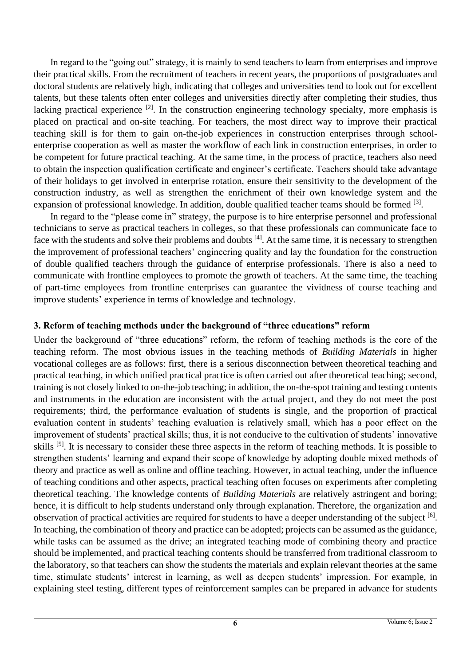In regard to the "going out" strategy, it is mainly to send teachers to learn from enterprises and improve their practical skills. From the recruitment of teachers in recent years, the proportions of postgraduates and doctoral students are relatively high, indicating that colleges and universities tend to look out for excellent talents, but these talents often enter colleges and universities directly after completing their studies, thus lacking practical experience [2]. In the construction engineering technology specialty, more emphasis is placed on practical and on-site teaching. For teachers, the most direct way to improve their practical teaching skill is for them to gain on-the-job experiences in construction enterprises through schoolenterprise cooperation as well as master the workflow of each link in construction enterprises, in order to be competent for future practical teaching. At the same time, in the process of practice, teachers also need to obtain the inspection qualification certificate and engineer's certificate. Teachers should take advantage of their holidays to get involved in enterprise rotation, ensure their sensitivity to the development of the construction industry, as well as strengthen the enrichment of their own knowledge system and the expansion of professional knowledge. In addition, double qualified teacher teams should be formed <sup>[3]</sup>.

In regard to the "please come in" strategy, the purpose is to hire enterprise personnel and professional technicians to serve as practical teachers in colleges, so that these professionals can communicate face to face with the students and solve their problems and doubts <sup>[4]</sup>. At the same time, it is necessary to strengthen the improvement of professional teachers' engineering quality and lay the foundation for the construction of double qualified teachers through the guidance of enterprise professionals. There is also a need to communicate with frontline employees to promote the growth of teachers. At the same time, the teaching of part-time employees from frontline enterprises can guarantee the vividness of course teaching and improve students' experience in terms of knowledge and technology.

# **3. Reform of teaching methods under the background of "three educations" reform**

Under the background of "three educations" reform, the reform of teaching methods is the core of the teaching reform. The most obvious issues in the teaching methods of *Building Materials* in higher vocational colleges are as follows: first, there is a serious disconnection between theoretical teaching and practical teaching, in which unified practical practice is often carried out after theoretical teaching; second, training is not closely linked to on-the-job teaching; in addition, the on-the-spot training and testing contents and instruments in the education are inconsistent with the actual project, and they do not meet the post requirements; third, the performance evaluation of students is single, and the proportion of practical evaluation content in students' teaching evaluation is relatively small, which has a poor effect on the improvement of students' practical skills; thus, it is not conducive to the cultivation of students' innovative skills <sup>[5]</sup>. It is necessary to consider these three aspects in the reform of teaching methods. It is possible to strengthen students' learning and expand their scope of knowledge by adopting double mixed methods of theory and practice as well as online and offline teaching. However, in actual teaching, under the influence of teaching conditions and other aspects, practical teaching often focuses on experiments after completing theoretical teaching. The knowledge contents of *Building Materials* are relatively astringent and boring; hence, it is difficult to help students understand only through explanation. Therefore, the organization and observation of practical activities are required for students to have a deeper understanding of the subject <sup>[6]</sup>. In teaching, the combination of theory and practice can be adopted; projects can be assumed as the guidance, while tasks can be assumed as the drive; an integrated teaching mode of combining theory and practice should be implemented, and practical teaching contents should be transferred from traditional classroom to the laboratory, so that teachers can show the students the materials and explain relevant theories at the same time, stimulate students' interest in learning, as well as deepen students' impression. For example, in explaining steel testing, different types of reinforcement samples can be prepared in advance for students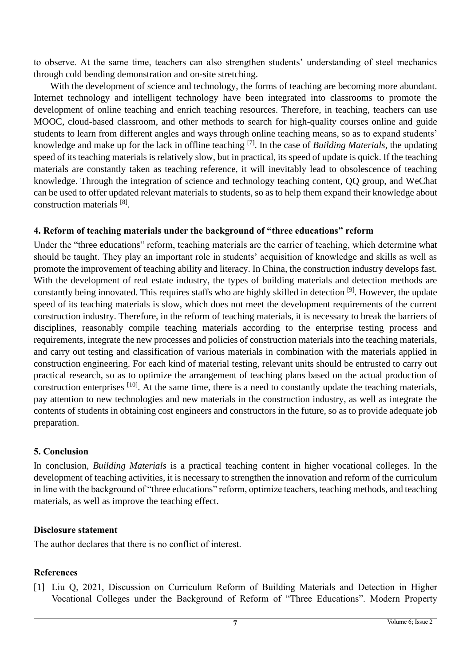to observe. At the same time, teachers can also strengthen students' understanding of steel mechanics through cold bending demonstration and on-site stretching.

With the development of science and technology, the forms of teaching are becoming more abundant. Internet technology and intelligent technology have been integrated into classrooms to promote the development of online teaching and enrich teaching resources. Therefore, in teaching, teachers can use MOOC, cloud-based classroom, and other methods to search for high-quality courses online and guide students to learn from different angles and ways through online teaching means, so as to expand students' knowledge and make up for the lack in offline teaching [7]. In the case of *Building Materials*, the updating speed of its teaching materials is relatively slow, but in practical, its speed of update is quick. If the teaching materials are constantly taken as teaching reference, it will inevitably lead to obsolescence of teaching knowledge. Through the integration of science and technology teaching content, QQ group, and WeChat can be used to offer updated relevant materials to students, so as to help them expand their knowledge about construction materials [8].

### **4. Reform of teaching materials under the background of "three educations" reform**

Under the "three educations" reform, teaching materials are the carrier of teaching, which determine what should be taught. They play an important role in students' acquisition of knowledge and skills as well as promote the improvement of teaching ability and literacy. In China, the construction industry develops fast. With the development of real estate industry, the types of building materials and detection methods are constantly being innovated. This requires staffs who are highly skilled in detection [9]. However, the update speed of its teaching materials is slow, which does not meet the development requirements of the current construction industry. Therefore, in the reform of teaching materials, it is necessary to break the barriers of disciplines, reasonably compile teaching materials according to the enterprise testing process and requirements, integrate the new processes and policies of construction materials into the teaching materials, and carry out testing and classification of various materials in combination with the materials applied in construction engineering. For each kind of material testing, relevant units should be entrusted to carry out practical research, so as to optimize the arrangement of teaching plans based on the actual production of construction enterprises [10]. At the same time, there is a need to constantly update the teaching materials, pay attention to new technologies and new materials in the construction industry, as well as integrate the contents of students in obtaining cost engineers and constructors in the future, so as to provide adequate job preparation.

# **5. Conclusion**

In conclusion, *Building Materials* is a practical teaching content in higher vocational colleges. In the development of teaching activities, it is necessary to strengthen the innovation and reform of the curriculum in line with the background of "three educations" reform, optimize teachers, teaching methods, and teaching materials, as well as improve the teaching effect.

#### **Disclosure statement**

The author declares that there is no conflict of interest.

#### **References**

[1] Liu Q, 2021, Discussion on Curriculum Reform of Building Materials and Detection in Higher Vocational Colleges under the Background of Reform of "Three Educations". Modern Property